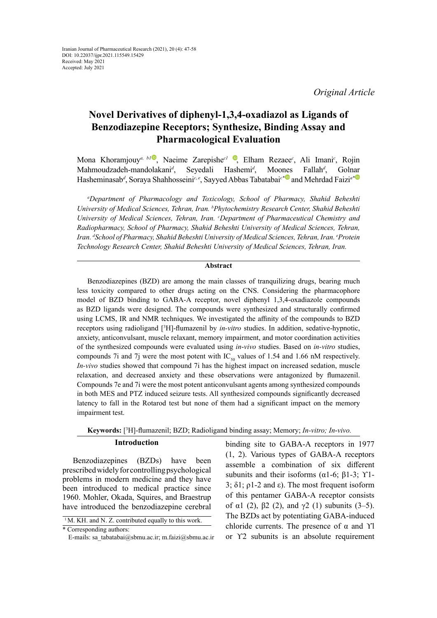# **Novel Derivatives of diphenyl-1,3,4-oxadiazol as Ligands of Benzodiazepine Receptors; Synthesize, Binding Assay and Pharmacological Evaluation**

Mona Khoramjouy<sup>*a[,](https://orcid.org/0000-0002-4607-5353) bl* [,](https://orcid.org/
0000-0002-5095-7850) Naeime Zarepishe<sup>cl</sup> , Elham Rezaee<sup>c</sup>, Ali Imani<sup>c</sup>, Rojin</sup> Mahmoudzadeh-mandolakani*<sup>d</sup>* , Seyedali Hashemi*<sup>d</sup>* Moo[nes](https://orcid.org/0000-0002-7363-3517) Fallah<sup>d</sup>, , Golnar Hasheminasab*<sup>d</sup>* , Soraya Shahhosseini*<sup>c</sup>*, *<sup>e</sup>* , Sayyed Abbas Tabatabai*c\** and Mehrdad Faizi*a[\\*](https://orcid.org/0000-0002-6896-838X)*

*a Department of Pharmacology and Toxicology, School of Pharmacy, Shahid Beheshti University of Medical Sciences, Tehran, Iran. b Phytochemistry Research Center, Shahid Beheshti*  University of Medical Sciences, Tehran, Iran. *C* Department of Pharmaceutical Chemistry and *Radiopharmacy, School of Pharmacy, Shahid Beheshti University of Medical Sciences, Tehran, Iran. d School of Pharmacy, Shahid Beheshti University of Medical Sciences, Tehran, Iran. e Protein Technology Research Center, Shahid Beheshti University of Medical Sciences, Tehran, Iran.*

### **Abstract**

Benzodiazepines (BZD) are among the main classes of tranquilizing drugs, bearing much less toxicity compared to other drugs acting on the CNS. Considering the pharmacophore model of BZD binding to GABA-A receptor, novel diphenyl 1,3,4-oxadiazole compounds as BZD ligands were designed. The compounds were synthesized and structurally confirmed using LCMS, IR and NMR techniques. We investigated the affinity of the compounds to BZD receptors using radioligand [3 H]-flumazenil by *in-vitro* studies. In addition, sedative-hypnotic, anxiety, anticonvulsant, muscle relaxant, memory impairment, and motor coordination activities of the synthesized compounds were evaluated using *in*-*vivo* studies. Based on *in-vitro* studies, compounds 7i and 7j were the most potent with  $IC_{50}$  values of 1.54 and 1.66 nM respectively. *In-vivo* studies showed that compound 7i has the highest impact on increased sedation, muscle relaxation, and decreased anxiety and these observations were antagonized by flumazenil. Compounds 7e and 7i were the most potent anticonvulsant agents among synthesized compounds in both MES and PTZ induced seizure tests. All synthesized compounds significantly decreased latency to fall in the Rotarod test but none of them had a significant impact on the memory impairment test.

# **Keywords:** [3 H]-flumazenil; BZD; Radioligand binding assay; Memory; *In-vitro; In*-*vivo.*

### **Introduction**

Benzodiazepines (BZDs) have been prescribed widely for controlling psychological problems in modern medicine and they have been introduced to medical practice since 1960. Mohler, Okada, Squires, and Braestrup have introduced the benzodiazepine cerebral binding site to GABA-A receptors in 1977 (1, 2). Various types of GABA-A receptors assemble a combination of six different subunits and their isoforms ( $\alpha$ 1-6;  $\beta$ 1-3;  $\gamma$ 1-3;  $\delta$ 1;  $\rho$ 1-2 and  $\varepsilon$ ). The most frequent isoform of this pentamer GABA-A receptor consists of α1 (2),  $\beta$ 2 (2), and γ2 (1) subunits (3–5). The BZDs act by potentiating GABA-induced chloride currents. The presence of  $\alpha$  and  $\gamma$ l or ϒ2 subunits is an absolute requirement

 $1 M.$  KH. and N. Z. contributed equally to this work.

<sup>\*</sup> Corresponding authors:

E-mails: sa\_tabatabai@sbmu.ac.ir; m.faizi@sbmu.ac.ir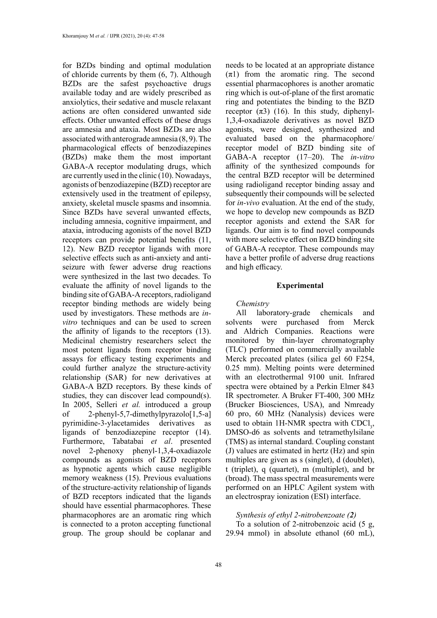for BZDs binding and optimal modulation of chloride currents by them (6, 7). Although BZDs are the safest psychoactive drugs available today and are widely prescribed as anxiolytics, their sedative and muscle relaxant actions are often considered unwanted side effects. Other unwanted effects of these drugs are amnesia and ataxia. Most BZDs are also associated with anterograde amnesia (8, 9). The pharmacological effects of benzodiazepines (BZDs) make them the most important GABA-A receptor modulating drugs, which are currently used in the clinic (10). Nowadays, agonists of benzodiazepine (BZD) receptor are extensively used in the treatment of epilepsy, anxiety, skeletal muscle spasms and insomnia. Since BZDs have several unwanted effects, including amnesia, cognitive impairment, and ataxia, introducing agonists of the novel BZD receptors can provide potential benefits (11, 12). New BZD receptor ligands with more selective effects such as anti-anxiety and antiseizure with fewer adverse drug reactions were synthesized in the last two decades. To evaluate the affinity of novel ligands to the binding site of GABA-A receptors, radioligand receptor binding methods are widely being used by investigators. These methods are *invitro* techniques and can be used to screen the affinity of ligands to the receptors (13). Medicinal chemistry researchers select the most potent ligands from receptor binding assays for efficacy testing experiments and could further analyze the structure-activity relationship (SAR) for new derivatives at GABA-A BZD receptors. By these kinds of studies, they can discover lead compound(s). In 2005, Selleri *et al.* introduced a group of 2-phenyl-5,7-dimethylpyrazolo[1,5-a] pyrimidine-3-ylacetamides derivatives as ligands of benzodiazepine receptor (14). Furthermore, Tabatabai *et al*. presented novel 2-phenoxy phenyl-1,3,4-oxadiazole compounds as agonists of BZD receptors as hypnotic agents which cause negligible memory weakness (15). Previous evaluations of the structure-activity relationship of ligands of BZD receptors indicated that the ligands should have essential pharmacophores. These pharmacophores are an aromatic ring which is connected to a proton accepting functional group. The group should be coplanar and

needs to be located at an appropriate distance  $(\pi 1)$  from the aromatic ring. The second essential pharmacophores is another aromatic ring which is out-of-plane of the first aromatic ring and potentiates the binding to the BZD receptor  $(\pi 3)$  (16). In this study, diphenyl-1,3,4-oxadiazole derivatives as novel BZD agonists, were designed, synthesized and evaluated based on the pharmacophore/ receptor model of BZD binding site of GABA-A receptor (17–20). The *in-vitro* affinity of the synthesized compounds for the central BZD receptor will be determined using radioligand receptor binding assay and subsequently their compounds will be selected for *in-vivo* evaluation. At the end of the study, we hope to develop new compounds as BZD receptor agonists and extend the SAR for ligands. Our aim is to find novel compounds with more selective effect on BZD binding site of GABA-A receptor. These compounds may have a better profile of adverse drug reactions and high efficacy.

### **Experimental**

#### *Chemistry*

All laboratory-grade chemicals and solvents were purchased from Merck and Aldrich Companies. Reactions were monitored by thin-layer chromatography (TLC) performed on commercially available Merck precoated plates (silica gel 60 F254, 0.25 mm). Melting points were determined with an electrothermal 9100 unit. Infrared spectra were obtained by a Perkin Elmer 843 IR spectrometer. A Bruker FT-400, 300 MHz (Brucker Biosciences, USA), and Nmready 60 pro, 60 MHz (Nanalysis) devices were used to obtain 1H-NMR spectra with  $CDCI<sub>3</sub>$ , DMSO-d6 as solvents and tetramethylsilane (TMS) as internal standard. Coupling constant (J) values are estimated in hertz (Hz) and spin multiples are given as s (singlet), d (doublet), t (triplet), q (quartet), m (multiplet), and br (broad). The mass spectral measurements were performed on an HPLC Agilent system with an electrospray ionization (ESI) interface.

# *Synthesis of ethyl 2-nitrobenzoate (2)*

To a solution of 2-nitrobenzoic acid (5 g, 29.94 mmol) in absolute ethanol (60 mL),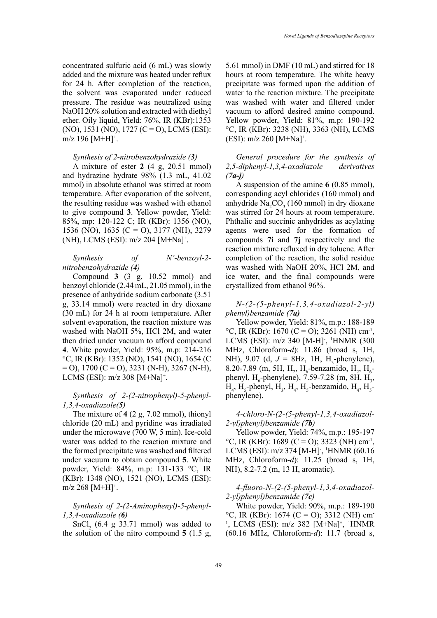concentrated sulfuric acid (6 mL) was slowly added and the mixture was heated under reflux for 24 h. After completion of the reaction, the solvent was evaporated under reduced pressure. The residue was neutralized using NaOH 20% solution and extracted with diethyl ether. Oily liquid, Yield: 76%, IR (KBr):1353  $(NO), 1531 (NO), 1727 (C=O), LCMS (ESI):$ m/z 196 [M+H]<sup>+</sup>.

### *Synthesis of 2-nitrobenzohydrazide (3)*

A mixture of ester **2** (4 g, 20.51 mmol) and hydrazine hydrate 98% (1.3 mL, 41.02 mmol) in absolute ethanol was stirred at room temperature. After evaporation of the solvent, the resulting residue was washed with ethanol to give compound **3**. Yellow powder, Yield: 85%, mp: 120-122 C; IR (KBr): 1356 (NO), 1536 (NO), 1635 (C = O), 3177 (NH), 3279 (NH), LCMS (ESI): m/z 204 [M+Na]+ .

# *Synthesis of N'-benzoyl-2 nitrobenzohydrazide (4)*

Compound **3** (3 g, 10.52 mmol) and benzoyl chloride (2.44 mL, 21.05 mmol), in the presence of anhydride sodium carbonate (3.51 g, 33.14 mmol) were reacted in dry dioxane (30 mL) for 24 h at room temperature. After solvent evaporation, the reaction mixture was washed with NaOH 5%, HCl 2M, and water then dried under vacuum to afford compound **4**. White powder, Yield: 95%, m.p: 214-216 °C, IR (KBr): 1352 (NO), 1541 (NO), 1654 (C  $=$  O), 1700 (C = O), 3231 (N-H), 3267 (N-H), LCMS (ESI): m/z 308 [M+Na]<sup>+</sup>.

### *Synthesis of 2-(2-nitrophenyl)-5-phenyl-1,3,4-oxadiazole(5)*

The mixture of **4** (2 g, 7.02 mmol), thionyl chloride (20 mL) and pyridine was irradiated under the microwave (700 W, 5 min). Ice-cold water was added to the reaction mixture and the formed precipitate was washed and filtered under vacuum to obtain compound **5**. White powder, Yield: 84%, m.p: 131-133 °C, IR (KBr): 1348 (NO), 1521 (NO), LCMS (ESI):  $m/z$  268 [M+H]<sup>+</sup>.

### *Synthesis of 2-(2-Aminophenyl)-5-phenyl-1,3,4-oxadiazole (6)*

 $SnCl<sub>2</sub>$  (6.4 g 33.71 mmol) was added to the solution of the nitro compound **5** (1.5 g,

5.61 mmol) in DMF (10 mL) and stirred for 18 hours at room temperature. The white heavy precipitate was formed upon the addition of water to the reaction mixture. The precipitate was washed with water and filtered under vacuum to afford desired amino compound. Yellow powder, Yield: 81%, m.p: 190-192 °C, IR (KBr): 3238 (NH), 3363 (NH), LCMS  $(ESI): m/z 260 [M+Na]^+.$ 

*General procedure for the synthesis of 2,5-diphenyl-1,3,4-oxadiazole derivatives (7a-j)*

A suspension of the amine **6** (0.85 mmol), corresponding acyl chlorides (160 mmol) and anhydride  $\text{Na}_2\text{CO}_3$  (160 mmol) in dry dioxane was stirred for 24 hours at room temperature. Phthalic and succinic anhydrides as acylating agents were used for the formation of compounds **7i** and **7j** respectively and the reaction mixture refluxed in dry toluene. After completion of the reaction, the solid residue was washed with NaOH 20%, HCl 2M, and ice water, and the final compounds were crystallized from ethanol 96%.

*N-(2-(5-phenyl-1,3,4-oxadiazol-2-yl) phenyl)benzamide (7a)* 

Yellow powder, Yield: 81%, m.p.: 188-189  $^{\circ}$ C, IR (KBr): 1670 (C = O); 3261 (NH) cm<sup>-1</sup>, LCMS (ESI): m/z 340 [M-H]<sup>-</sup>, <sup>1</sup>HNMR (300 MHz, Chloroform-*d*): 11.86 (broad s, 1H, NH),  $9.07$  (d,  $J = 8$ Hz, 1H, H<sub>3</sub>-phenylene), 8.20-7.89 (m, 5H, H<sub>2</sub>, H<sub>6</sub>-benzamido, H<sub>2</sub>, H<sub>6</sub>phenyl,  $H_6$ -phenylene), 7.59-7.28 (m, 8H,  $H_3$ ,  $H_4$ , H<sub>5</sub>-phenyl, H<sub>3</sub>, H<sub>4</sub>, H<sub>5</sub>-benzamido, H<sub>4</sub>, H<sub>5</sub>phenylene).

*4-chloro-N-(2-(5-phenyl-1,3,4-oxadiazol-2-yl)phenyl)benzamide (7b)*

Yellow powder, Yield: 74%, m.p.: 195-197  $^{\circ}$ C, IR (KBr): 1689 (C = O); 3323 (NH) cm<sup>-1</sup>, LCMS (ESI): m/z 374 [M-H]<sup>-</sup>, <sup>1</sup>HNMR (60.16 MHz, Chloroform-*d*): 11.25 (broad s, 1H, NH), 8.2-7.2 (m, 13 H, aromatic).

### *4-fluoro-N-(2-(5-phenyl-1,3,4-oxadiazol-2-yl)phenyl)benzamide (7c)*

White powder, Yield: 90%, m.p.: 189-190  $^{\circ}$ C, IR (KBr): 1674 (C = O); 3312 (NH) cm<sup>-</sup> <sup>1</sup>, LCMS (ESI): m/z 382 [M+Na]<sup>+</sup>, <sup>1</sup>HNMR (60.16 MHz, Chloroform-*d*): 11.7 (broad s,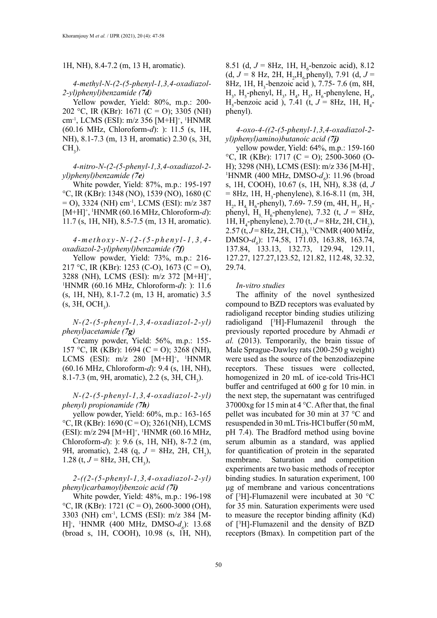1H, NH), 8.4-7.2 (m, 13 H, aromatic).

*4-methyl-N-(2-(5-phenyl-1,3,4-oxadiazol-2-yl)phenyl)benzamide (7d)*

Yellow powder, Yield: 80%, m.p.: 200- 202 °C, IR (KBr): 1671 (C = O); 3305 (NH) cm-1, LCMS (ESI): m/z 356 [M+H]+ , 1 HNMR (60.16 MHz, Chloroform-*d*): ): 11.5 (s, 1H, NH), 8.1-7.3 (m, 13 H, aromatic) 2.30 (s, 3H,  $CH<sub>3</sub>$ ).

*4-nitro-N-(2-(5-phenyl-1,3,4-oxadiazol-2 yl)phenyl)benzamide (7e)*

White powder, Yield: 87%, m.p.: 195-197 °C, IR (KBr): 1348 (NO), 1539 (NO), 1680 (C = O), 3324 (NH) cm-1, LCMS (ESI): m/z 387 [M+H]+ , 1 HNMR (60.16 MHz, Chloroform-*d*): 11.7 (s, 1H, NH), 8.5-7.5 (m, 13 H, aromatic).

# *4-methoxy-N-(2-(5-phenyl-1,3,4 oxadiazol-2-yl)phenyl)benzamide (7f)*

Yellow powder, Yield: 73%, m.p.: 216- 217 °C, IR (KBr): 1253 (C-O), 1673 (C = O), 3288 (NH), LCMS (ESI):  $m/z$  372 [M+H]<sup>+</sup>,<br><sup>1</sup>HNMR (60.16 MHz, Chloroform-d): ): 11.6 HNMR (60.16 MHz, Chloroform-*d*): ): 11.6 (s, 1H, NH), 8.1-7.2 (m, 13 H, aromatic) 3.5  $(s, 3H, OCH<sub>3</sub>).$ 

*N-(2-(5-phenyl-1,3,4-oxadiazol-2-yl) phenyl)acetamide (7g)*

Creamy powder, Yield: 56%, m.p.: 155- 157 °C, IR (KBr): 1694 (C = O); 3268 (NH), LCMS (ESI): m/z 280 [M+H]<sup>+</sup>, <sup>1</sup>HNMR (60.16 MHz, Chloroform-*d*): 9.4 (s, 1H, NH), 8.1-7.3 (m, 9H, aromatic), 2.2 (s, 3H, CH<sub>3</sub>).

### *N-(2-(5-phenyl-1,3,4-oxadiazol-2-yl) phenyl) propionamide (7h)*

yellow powder, Yield: 60%, m.p.: 163-165  $°C$ , IR (KBr): 1690 (C = O); 3261(NH), LCMS (ESI): m/z 294 [M+H]<sup>+</sup>, <sup>1</sup>HNMR (60.16 MHz, Chloroform-*d*): ): 9.6 (s, 1H, NH), 8-7.2 (m, 9H, aromatic), 2.48 (q,  $J = 8$ Hz, 2H, CH<sub>2</sub>), 1.28 (t,  $J = 8$ Hz, 3H, CH<sub>3</sub>),

# *2-((2-(5-phenyl-1,3,4-oxadiazol-2-yl) phenyl)carbamoyl)benzoic acid (7i)*

White powder, Yield: 48%, m.p.: 196-198  $\rm{^{\circ}C}$ , IR (KBr): 1721 (C = O), 2600-3000 (OH), 3303 (NH) cm-1, LCMS (ESI): m/z 384 [M-H], <sup>1</sup>HNMR (400 MHz, DMSO- $d_6$ ): 13.68 (broad s, 1H, COOH), 10.98 (s, 1H, NH),

8.51 (d,  $J = 8$ Hz, 1H, H<sub>6</sub>-benzoic acid), 8.12  $(d, J = 8 \text{ Hz}, 2\text{H}, \text{H}_2, \text{H}_6 \text{phenyl}), 7.91 (d, J =$ 8Hz, 1H,  $H_3$ -benzoic acid ), 7.75- 7.6 (m, 8H,  $H_3$ ,  $H_5$ -phenyl,  $H_3$ ,  $H_4$ ,  $H_5$ ,  $H_6$ -phenylene,  $H_4$ ,  $H_5$ -benzoic acid ), 7.41 (t,  $J = 8$ Hz, 1H,  $H_4$ phenyl).

*4-oxo-4-((2-(5-phenyl-1,3,4-oxadiazol-2 yl)phenyl)amino)butanoic acid (7j)*

yellow powder, Yield: 64%, m.p.: 159-160  $^{\circ}$ C, IR (KBr): 1717 (C = O); 2500-3060 (O-H); 3298 (NH), LCMS (ESI): m/z 336 [M-H]<sup>-</sup>,<br><sup>1</sup>HNMR (400 MHz, DMSO-d.): 11.96 (broad HNMR (400 MHz, DMSO- $d_{\rho}$ ): 11.96 (broad s, 1H, COOH), 10.67 (s, 1H, NH), 8.38 (d, *J*  $= 8$ Hz, 1H, H<sub>3</sub>-phenylene), 8.16-8.11 (m, 3H,  $H_2$ ,  $H_4$ ,  $H_6$ -phenyl), 7.69- 7.59 (m, 4H,  $H_3$ ,  $H_5$ phenyl,  $H_s$ ,  $H_6$ -phenylene), 7.32 (t,  $J = 8$ Hz, 1H, H<sub>4</sub>-phenylene), 2.70 (t,  $J = 8$ Hz, 2H, CH<sub>2</sub>),  $2.57$  (t,  $J = 8$ Hz,  $2$ H, CH<sub>2</sub>), <sup>13</sup>CNMR (400 MHz, DMSO- $d_6$ ): 174.58, 171.03, 163.88, 163.74, 137.84, 133.13, 132.73, 129.94, 129.11, 127.27, 127.27,123.52, 121.82, 112.48, 32.32, 29.74.

#### *In-vitro studies*

The affinity of the novel synthesized compound to BZD receptors was evaluated by radioligand receptor binding studies utilizing radioligand [3 H]-Flumazenil through the previously reported procedure by Ahmadi *et al.* (2013). Temporarily, the brain tissue of Male Sprague-Dawley rats (200-250 g weight) were used as the source of the benzodiazepine receptors. These tissues were collected, homogenized in 20 mL of ice-cold Tris-HCl buffer and centrifuged at 600 g for 10 min. in the next step, the supernatant was centrifuged 37000xg for 15 min at 4 °C. After that, the final pellet was incubated for 30 min at 37 °C and resuspended in 30 mL Tris‐HCl buffer (50 mM, pH 7.4). The Bradford method using bovine serum albumin as a standard, was applied for quantification of protein in the separated membrane. Saturation and competition experiments are two basic methods of receptor binding studies. In saturation experiment, 100 μg of membrane and various concentrations of [3 H]-Flumazenil were incubated at 30 °C for 35 min. Saturation experiments were used to measure the receptor binding affinity (Kd) of [3 H]-Flumazenil and the density of BZD receptors (Bmax). In competition part of the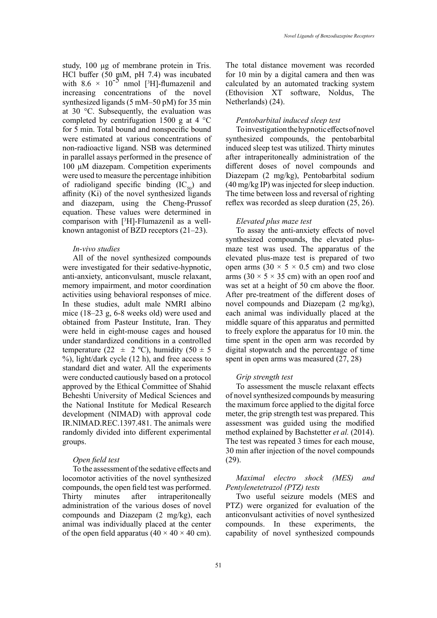study, 100 μg of membrane protein in Tris. HCl buffer (50 mM, pH 7.4) was incubated with  $8.6 \times 10^{-5}$  nmol [<sup>3</sup>H]-flumazenil and increasing concentrations of the novel synthesized ligands (5 mM–50 pM) for 35 min at 30 °C. Subsequently, the evaluation was completed by centrifugation 1500 g at 4  $^{\circ}$ C for 5 min. Total bound and nonspecific bound were estimated at various concentrations of non-radioactive ligand. NSB was determined in parallel assays performed in the presence of 100 μM diazepam. Competition experiments were used to measure the percentage inhibition of radioligand specific binding  $(IC_{50})$  and affinity  $(K<sub>i</sub>)$  of the novel synthesized ligands and diazepam, using the Cheng-Prussof equation. These values were determined in comparison with [3 H]-Flumazenil as a wellknown antagonist of BZD receptors (21–23).

### *In-vivo studies*

All of the novel synthesized compounds were investigated for their sedative-hypnotic, anti-anxiety, anticonvulsant, muscle relaxant, memory impairment, and motor coordination activities using behavioral responses of mice. In these studies, adult male NMRI albino mice (18–23 g, 6-8 weeks old) were used and obtained from Pasteur Institute, Iran. They were held in eight-mouse cages and housed under standardized conditions in a controlled temperature (22  $\pm$  2 °C), humidity (50  $\pm$  5  $\%$ ), light/dark cycle (12 h), and free access to standard diet and water. All the experiments were conducted cautiously based on a protocol approved by the Ethical Committee of Shahid Beheshti University of Medical Sciences and the National Institute for Medical Research development (NIMAD) with approval code IR.NIMAD.REC.1397.481. The animals were randomly divided into different experimental groups.

### *Open field test*

To the assessment of the sedative effects and locomotor activities of the novel synthesized compounds, the open field test was performed. Thirty minutes after intraperitoneally administration of the various doses of novel compounds and Diazepam (2 mg/kg), each animal was individually placed at the center of the open field apparatus  $(40 \times 40 \times 40 \text{ cm})$ .

The total distance movement was recorded for 10 min by a digital camera and then was calculated by an automated tracking system (Ethovision XT software, Noldus, The Netherlands) (24).

### *Pentobarbital induced sleep test*

To investigation the hypnotic effects of novel synthesized compounds, the pentobarbital induced sleep test was utilized. Thirty minutes after intraperitoneally administration of the different doses of novel compounds and Diazepam (2 mg/kg), Pentobarbital sodium (40 mg/kg IP) was injected for sleep induction. The time between loss and reversal of righting reflex was recorded as sleep duration (25, 26).

### *Elevated plus maze test*

To assay the anti-anxiety effects of novel synthesized compounds, the elevated plusmaze test was used. The apparatus of the elevated plus-maze test is prepared of two open arms  $(30 \times 5 \times 0.5 \text{ cm})$  and two close arms  $(30 \times 5 \times 35$  cm) with an open roof and was set at a height of 50 cm above the floor. After pre-treatment of the different doses of novel compounds and Diazepam (2 mg/kg), each animal was individually placed at the middle square of this apparatus and permitted to freely explore the apparatus for 10 min. the time spent in the open arm was recorded by digital stopwatch and the percentage of time spent in open arms was measured (27, 28)

#### *Grip strength test*

To assessment the muscle relaxant effects of novel synthesized compounds by measuring the maximum force applied to the digital force meter, the grip strength test was prepared. This assessment was guided using the modified method explained by Bachstetter *et al.* (2014). The test was repeated 3 times for each mouse, 30 min after injection of the novel compounds (29).

### *Maximal electro shock (MES) and Pentylenetetrazol (PTZ) tests*

Two useful seizure models (MES and PTZ) were organized for evaluation of the anticonvulsant activities of novel synthesized compounds. In these experiments, the capability of novel synthesized compounds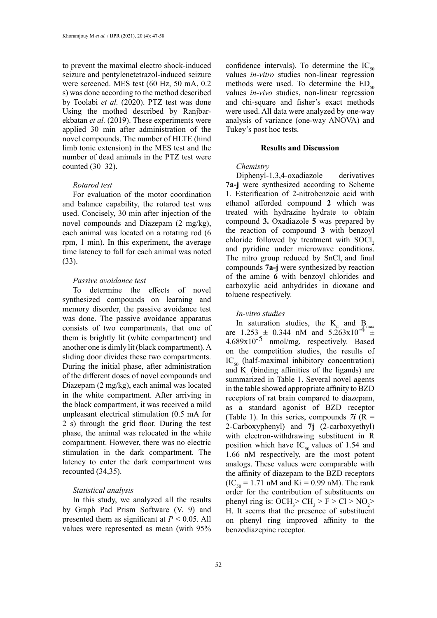to prevent the maximal electro shock-induced seizure and pentylenetetrazol-induced seizure were screened. MES test (60 Hz, 50 mA, 0.2 s) was done according to the method described by Toolabi *et al.* (2020). PTZ test was done Using the mothed described by Ranjbarekbatan *et al.* (2019). These experiments were applied 30 min after administration of the novel compounds. The number of HLTE (hind limb tonic extension) in the MES test and the number of dead animals in the PTZ test were counted (30–32).

### *Rotarod test*

For evaluation of the motor coordination and balance capability, the rotarod test was used. Concisely, 30 min after injection of the novel compounds and Diazepam (2 mg/kg), each animal was located on a rotating rod (6 rpm, 1 min). In this experiment, the average time latency to fall for each animal was noted (33).

#### *Passive avoidance test*

To determine the effects of novel synthesized compounds on learning and memory disorder, the passive avoidance test was done. The passive avoidance apparatus consists of two compartments, that one of them is brightly lit (white compartment) and another one is dimly lit (black compartment). A sliding door divides these two compartments. During the initial phase, after administration of the different doses of novel compounds and Diazepam (2 mg/kg), each animal was located in the white compartment. After arriving in the black compartment, it was received a mild unpleasant electrical stimulation (0.5 mA for 2 s) through the grid floor. During the test phase, the animal was relocated in the white compartment. However, there was no electric stimulation in the dark compartment. The latency to enter the dark compartment was recounted (34,35).

### *Statistical analysis*

In this study, we analyzed all the results by Graph Pad Prism Software (V. 9) and presented them as significant at  $P < 0.05$ . All values were represented as mean (with 95% confidence intervals). To determine the  $IC_{50}$ values *in-vitro* studies non-linear regression methods were used. To determine the  $ED_{50}$ values *in-vivo* studies, non-linear regression and chi-square and fisher's exact methods were used. All data were analyzed by one-way analysis of variance (one-way ANOVA) and Tukey's post hoc tests.

### **Results and Discussion**

### *Chemistry*

Diphenyl-1,3,4-oxadiazole derivatives **7a-j** were synthesized according to Scheme 1. Esterification of 2-nitrobenzoic acid with ethanol afforded compound **2** which was treated with hydrazine hydrate to obtain compound **3.** Oxadiazole **5** was prepared by the reaction of compound **3** with benzoyl chloride followed by treatment with SOCl<sub>2</sub> and pyridine under microwave conditions. The nitro group reduced by SnCl<sub>2</sub> and final compounds **7a-j** were synthesized by reaction of the amine **6** with benzoyl chlorides and carboxylic acid anhydrides in dioxane and toluene respectively.

#### *In-vitro studies*

In saturation studies, the K<sub>d</sub> and B<sub>d</sub> max are  $1.253 \pm 0.344$  nM and  $5.263 \times 10^{-4}$   $\pm$  $4.689x10^{-5}$  nmol/mg, respectively. Based on the competition studies, the results of  $IC_{50}$  (half-maximal inhibitory concentration) and  $K<sub>i</sub>$  (binding affinities of the ligands) are summarized in Table 1. Several novel agents in the table showed appropriate affinity to BZD receptors of rat brain compared to diazepam, as a standard agonist of BZD receptor (Table 1). In this series, compounds  $7i$  (R = 2-Carboxyphenyl) and **7j** (2-carboxyethyl) with electron-withdrawing substituent in R position which have  $IC_{50}$  values of 1.54 and 1.66 nM respectively, are the most potent analogs. These values were comparable with the affinity of diazepam to the BZD receptors  $(IC_{50} = 1.71 \text{ nM and Ki} = 0.99 \text{ nM})$ . The rank order for the contribution of substituents on phenyl ring is:  $OCH_3 > CH_3 > F > Cl > NO_2 >$ H. It seems that the presence of substituent on phenyl ring improved affinity to the benzodiazepine receptor.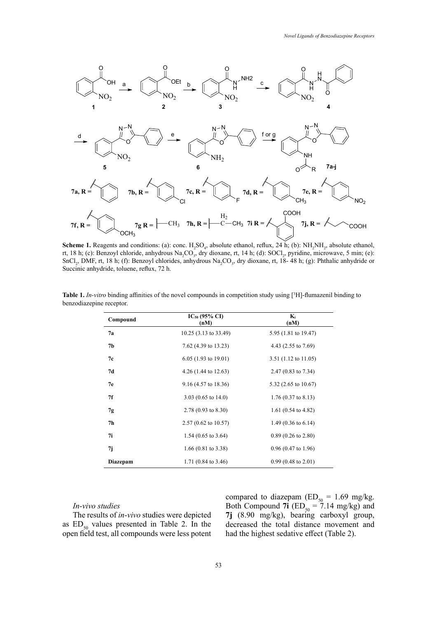

SnCl<sub>2</sub>, DMF, rt, 18 h; (f): Benzoyl chlorides, anhydrous Na<sub>2</sub>CO<sub>3</sub>, dry dioxane, rt, 18-48 h; (g): Phthalic anhydride or **Scheme 1.** Reagents and conditions: (a): conc.  $H_2SO_4$ , absolute ethanol, reflux, 24 h; (b):  $NH_2NH_2$ , absolute ethanol, rt, 18 h; (c): Benzoyl chloride, anhydrous Na<sub>2</sub>CO<sub>3</sub>, dry dioxane, rt, 14 h; (d): SOCl<sub>2</sub>, pyridine, microwave, 5 min; (e): Succinic anhydride, toluene, reflux, 72 h.

| Compound       | $IC_{50}$ (95% CI)<br>(nM)      | $K_i$<br>(nM)                  |  |
|----------------|---------------------------------|--------------------------------|--|
| 7а             | 10.25 (3.13 to 33.49)           | 5.95 (1.81 to 19.47)           |  |
| 7b             | 7.62 (4.39 to 13.23)            | 4.43 $(2.55 \text{ to } 7.69)$ |  |
| 7c             | $6.05(1.93 \text{ to } 19.01)$  | $3.51$ (1.12 to 11.05)         |  |
| 7d             | 4.26 $(1.44 \text{ to } 12.63)$ | 2.47 $(0.83 \text{ to } 7.34)$ |  |
| 7e             | $9.16(4.57 \text{ to } 18.36)$  | 5.32 (2.65 to 10.67)           |  |
| 7f             | 3.03 $(0.65 \text{ to } 14.0)$  | $1.76(0.37 \text{ to } 8.13)$  |  |
| 7g             | 2.78 (0.93 to 8.30)             | 1.61 $(0.54 \text{ to } 4.82)$ |  |
| 7 <sub>h</sub> | $2.57(0.62 \text{ to } 10.57)$  | 1.49 $(0.36 \text{ to } 6.14)$ |  |
| 7i             | 1.54 $(0.65 \text{ to } 3.64)$  | $0.89$ (0.26 to 2.80)          |  |
| 7j             | 1.66 $(0.81 \text{ to } 3.38)$  | $0.96(0.47 \text{ to } 1.96)$  |  |
| Diazepam       | 1.71 $(0.84 \text{ to } 3.46)$  | $0.99(0.48 \text{ to } 2.01)$  |  |

Table 1. In-vitro binding affinities of the novel compounds in competition study using  $[^3H]$ -flumazenil binding to Na2Co3, dry dioxane, reflux, 18- 48 h; (g): Phthalic and Succinic and Succinic and Succinic and Theorem (reflux, reflux, reflux, reflux, reflux, reflux, reflux, reflux, reflux, reflux, reflux, reflux, reflux, reflux, reflu benzodiazepine receptor.

### *In-vivo studies*

The results of *in-vivo* studies were depicted as  $ED_{50}$  values presented in Table 2. In the open field test, all compounds were less potent

compared to diazepam ( $ED_{50} = 1.69$  mg/kg. Both Compound **7i** ( $ED_{50} = 7.14$  mg/kg) and **7j** (8.90 mg/kg), bearing carboxyl group, decreased the total distance movement and had the highest sedative effect (Table 2).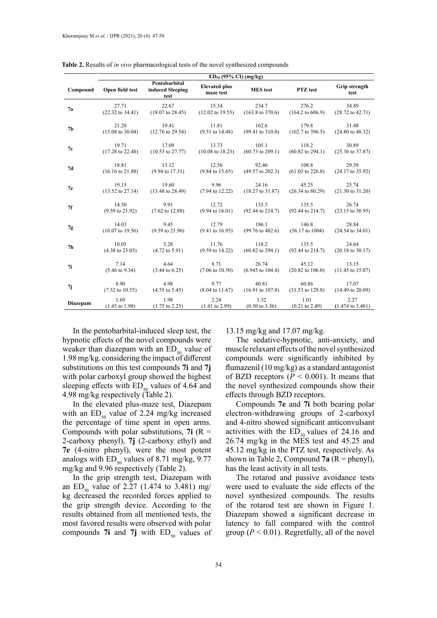|                | $ED_{50}$ (95% CI) (mg/kg)  |                                           |                                   |                             |                             |                             |  |
|----------------|-----------------------------|-------------------------------------------|-----------------------------------|-----------------------------|-----------------------------|-----------------------------|--|
| Compound       | Open field test             | Pentobarbital<br>induced Sleeping<br>test | <b>Elevated plus</b><br>maze test | <b>MES</b> test             | PTZ test                    | Grip strength<br>test       |  |
| 7a             | 27.71                       | 22.67                                     | 15.34                             | 234.7                       | 276.2                       | 34.89                       |  |
|                | $(22.32 \text{ to } 34.41)$ | $(18.07 \text{ to } 28.45)$               | $(12.02 \text{ to } 19.55)$       | $(163.8 \text{ to } 370.6)$ | $(164.2 \text{ to } 606.9)$ | $(28.72 \text{ to } 42.71)$ |  |
| 7 <sub>b</sub> | 21.28                       | 19.41                                     | 11.81                             | 162.6                       | 179.8                       | 31.48                       |  |
|                | $(15.08 \text{ to } 30.04)$ | $(12.76 \text{ to } 29.54)$               | $(9.51 \text{ to } 14.48)$        | $(99.41 \text{ to } 310.0)$ | $(102.7 \text{ to } 396.5)$ | $(24.80 \text{ to } 40.32)$ |  |
| 7c             | 19.71                       | 17.09                                     | 13.73                             | 105.1                       | 118.2                       | 30.89                       |  |
|                | $(17.28 \text{ to } 22.48)$ | $(10.53 \text{ to } 27.77)$               | $(10.08 \text{ to } 18.23)$       | $(60.73 \text{ to } 209.1)$ | $(60.82 \text{ to } 294.1)$ | $(25.36 \text{ to } 37.87)$ |  |
| 7d             | 18.81                       | 13.12                                     | 12.56                             | 92.46                       | 108.8                       | 29.39                       |  |
|                | $(16.16 \text{ to } 21.88)$ | $(9.94 \text{ to } 17.31)$                | $(9.84 \text{ to } 15.65)$        | $(49.57 \text{ to } 202.3)$ | $(61.03 \text{ to } 226.8)$ | $(24.17 \text{ to } 35.92)$ |  |
| 7e             | 19.15                       | 19.60                                     | 9.96                              | 24.16                       | 45.25                       | 25.74                       |  |
|                | $(13.52 \text{ to } 27.14)$ | $(13.48 \text{ to } 28.49)$               | $(7.94 \text{ to } 12.22)$        | $(18.27 \text{ to } 31.87)$ | $(26.34 \text{ to } 80.29)$ | $(21.30 \text{ to } 31.20)$ |  |
| 7f             | 14.50                       | 9.91                                      | 12.72                             | 135.5                       | 135.5                       | 26.74                       |  |
|                | $(9.59 \text{ to } 21.92)$  | $(7.62 \text{ to } 12.88)$                | $(9.94 \text{ to } 16.01)$        | $(92.44 \text{ to } 214.7)$ | $(92.44 \text{ to } 214.7)$ | $(23.15 \text{ to } 30.95)$ |  |
| 7g             | 14.03                       | 9.45                                      | 12.79                             | 186.1                       | 146.8                       | 28.84                       |  |
|                | $(10.07 \text{ to } 19.56)$ | $(9.59 \text{ to } 21.96)$                | $(9.41 \text{ to } 16.95)$        | $(99.76 \text{ to } 482.6)$ | $(56.17 \text{ to } 1004)$  | $(24.54 \text{ to } 34.01)$ |  |
| 7 <sub>h</sub> | 10.05                       | 5.28                                      | 11.76                             | 118.2                       | 135.5                       | 24.64                       |  |
|                | $(4.38 \text{ to } 23.05)$  | $(4.72 \text{ to } 5.91)$                 | $(9.59 \text{ to } 14.22)$        | $(60.82 \text{ to } 294.1)$ | $(92.44 \text{ to } 214.7)$ | $(20.18 \text{ to } 30.17)$ |  |
| 7i             | 7.14                        | 4.64                                      | 8.71                              | 26.74                       | 45.12                       | 13.15                       |  |
|                | $(5.46 \text{ to } 9.34)$   | $(3.44 \text{ to } 6.25)$                 | $(7.06 \text{ to } 10.50)$        | $(6.945 \text{ to } 104.4)$ | $(20.82 \text{ to } 106.0)$ | $(11.45 \text{ to } 15.07)$ |  |
| 7j             | 8.90                        | 4.98                                      | 9.77                              | 40.81                       | 60.86                       | 17.07                       |  |
|                | $(7.52 \text{ to } 10.55)$  | $(4.55 \text{ to } 5.45)$                 | $(8.04 \text{ to } 11.67)$        | $(16.91 \text{ to } 107.8)$ | $(31.53 \text{ to } 129.8)$ | $(14.49 \text{ to } 20.09)$ |  |
| Diazepam       | 1.69                        | 1.98                                      | 2.24                              | 1.32                        | 1.01                        | 2.27                        |  |
|                | $(1.45 \text{ to } 1.98)$   | $(1.75 \text{ to } 2.25)$                 | $(1.41 \text{ to } 2.99)$         | $(0.50 \text{ to } 3.36)$   | $(0.21 \text{ to } 2.49)$   | $(1.474 \text{ to } 3.481)$ |  |

**Table 2.** Results of *in vivo* pharmacological tests of the novel synthesized compounds **Table 2.** Results of *in vivo* pharmacological tests of the novel synthesized compounds

In the pentobarbital-induced sleep test, the hypnotic effects of the novel compounds were weaker than diazepam with an  $ED_{50}$  value of 1.98 mg/kg. considering the impact of different substitutions on this test compounds **7i** and **7j** with polar carboxyl group showed the highest sleeping effects with  $ED_{50}$  values of 4.64 and 4.98 mg/kg respectively (Table 2).

In the elevated plus-maze test, Diazepam with an  $ED_{50}$  value of 2.24 mg/kg increased the percentage of time spent in open arms. Compounds with polar substitutions,  $7i$  ( $R =$ 2-carboxy phenyl), **7j** (2-carboxy ethyl) and **7e** (4-nitro phenyl), were the most potent analogs with  $ED_{50}$  values of 8.71 mg/kg, 9.77 mg/kg and 9.96 respectively (Table 2).

In the grip strength test, Diazepam with an ED<sub>50</sub> value of 2.27 (1.474 to 3.481) mg/ kg decreased the recorded forces applied to the grip strength device. According to the results obtained from all mentioned tests, the most favored results were observed with polar compounds **7i** and **7j** with  $ED_{50}$  values of 13.15 mg/kg and 17.07 mg/kg.

The sedative-hypnotic, anti-anxiety, and muscle relaxant effects of the novel synthesized compounds were significantly inhibited by flumazenil (10 mg/kg) as a standard antagonist of BZD receptors  $(P < 0.001)$ . It means that the novel synthesized compounds show their effects through BZD receptors.

Compounds **7e** and **7i** both bearing polar electron-withdrawing groups of 2-carboxyl and 4-nitro showed significant anticonvulsant activities with the  $ED_{50}$  values of 24.16 and 26.74 mg/kg in the MES test and 45.25 and 45.12 mg/kg in the PTZ test, respectively. As shown in Table 2, Compound **7a**  $(R = phenyl)$ , has the least activity in all tests.

The rotarod and passive avoidance tests were used to evaluate the side effects of the novel synthesized compounds. The results of the rotarod test are shown in Figure 1. Diazepam showed a significant decrease in latency to fall compared with the control group ( $P < 0.01$ ). Regretfully, all of the novel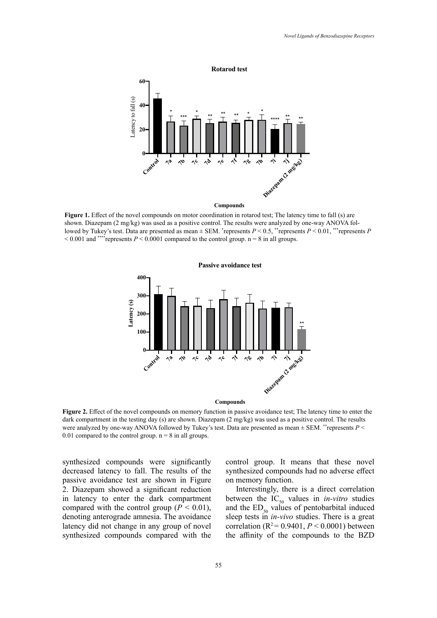

lowed by Tukey's test. Data are presented as mean  $\pm$  SEM. \*represents  $P < 0.5$ , \*\*represents  $P < 0.01$ , \*\*\*represents P  $< 0.001$  and \*\*\*\*represents  $P < 0.0001$  compared to the control group. n = 8 in all groups. **Figure 1.** Effect of the novel compounds on motor coordination in rotarod test; The latency time to fall (s) are shown. Diazepam (2 mg/kg) was used as a positive control. The results were analyzed by one-way ANOVA fol-



were analyzed by one-way ANOVA followed by Tukey's test. Data are presented as mean  $\pm$  SEM. \*\*represents *P* < 0.01 compared to the control group.  $n = 8$  in all groups. **Figure 2.** Effect of the novel compounds on memory function in passive avoidance test; The latency time to enter the dark compartment in the testing day (s) are shown. Diazepam (2 mg/kg) was used as a positive control. The results

synthesized compounds were significantly decreased latency to fall. The results of the decreased factory to fail. The results of the passive avoidance test are shown in Figure 2. Diazepam showed a significant reduction in latency to enter the dark compartment compared with the control group ( $P < 0.01$ ), denoting anterograde amnesia. The avoidance latency did not change in any group of novel synthesized compounds compared with the

esized compounds were significantly control group. It means that these novel synthesized compounds had no adverse effect on memory function.

> Interestingly, there is a direct correlation between the  $IC_{50}$  values in *in-vitro* studies and the  $ED_{50}$  values of pentobarbital induced sleep tests in *in-vivo* studies. There is a great correlation ( $R^2 = 0.9401$ ,  $P < 0.0001$ ) between the affinity of the compounds to the BZD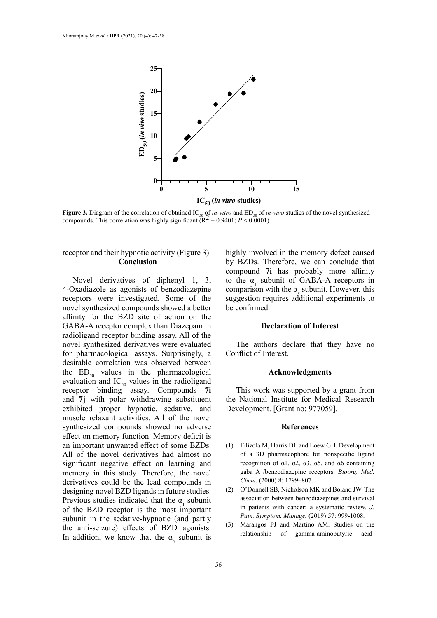

**Figure 3.** Diagram of the correlation of obtained IC<sub>50</sub> of *in-vitro* and ED<sub>50</sub> of *in-vivo* studies of the novel synthesized compounds. This correlation was highly significant ( $R^2$  = 0.9401; *P* < 0.0001). **Figure 3.** Diagram of the correlation of obtained IC50 of *in-vitro* and ED50 of *in-vivo* studies of the

# receptor and their hypnotic activity (Figure 3). **Conclusion**

Novel derivatives of diphenyl 1, 3, 4-Oxadiazole as agonists of benzodiazepine receptors were investigated. Some of the novel synthesized compounds showed a better affinity for the BZD site of action on the GABA-A receptor complex than Diazepam in radioligand receptor binding assay. All of the novel synthesized derivatives were evaluated for pharmacological assays. Surprisingly, a desirable correlation was observed between the  $ED_{50}$  values in the pharmacological evaluation and  $IC_{50}$  values in the radioligand receptor binding assay. Compounds **7i**  and **7j** with polar withdrawing substituent exhibited proper hypnotic, sedative, and muscle relaxant activities. All of the novel synthesized compounds showed no adverse effect on memory function. Memory deficit is an important unwanted effect of some BZDs. All of the novel derivatives had almost no significant negative effect on learning and memory in this study. Therefore, the novel derivatives could be the lead compounds in designing novel BZD ligands in future studies. Previous studies indicated that the  $\alpha$ , subunit of the BZD receptor is the most important subunit in the sedative-hypnotic (and partly the anti-seizure) effects of BZD agonists. In addition, we know that the  $\alpha_{5}$  subunit is highly involved in the memory defect caused by BZDs. Therefore, we can conclude that compound **7i** has probably more affinity to the  $\alpha$ , subunit of GABA-A receptors in comparison with the  $\alpha$ , subunit. However, this suggestion requires additional experiments to be confirmed.

### **Declaration of Interest**

The authors declare that they have no Conflict of Interest.

### **Acknowledgments**

This work was supported by a grant from the National Institute for Medical Research Development. [Grant no; 977059].

#### **References**

- (1) Filizola M, Harris DL and Loew GH. Development of a 3D pharmacophore for nonspecific ligand recognition of  $α1$ ,  $α2$ ,  $α3$ ,  $α5$ , and  $α6$  containing gaba A /benzodiazepine receptors. *Bioorg. Med. Chem*. (2000) 8: 1799–807.
- (2) O'Donnell SB, Nicholson MK and Boland JW. The association between benzodiazepines and survival in patients with cancer: a systematic review. *J. Pain. Symptom. Manage.* (2019) 57: 999-1008.
- (3) Marangos PJ and Martino AM. Studies on the relationship of gamma-aminobutyric acid-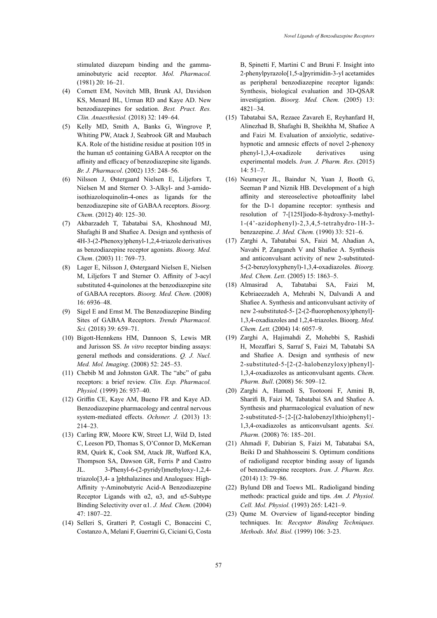stimulated diazepam binding and the gammaaminobutyric acid receptor. *Mol. Pharmacol.* (1981) 20: 16–21.

- (4) Cornett EM, Novitch MB, Brunk AJ, Davidson KS, Menard BL, Urman RD and Kaye AD. New benzodiazepines for sedation. *Best. Pract. Res. Clin. Anaesthesiol.* (2018) 32: 149–64.
- (5) Kelly MD, Smith A, Banks G, Wingrove P, Whiting PW, Atack J, Seabrook GR and Maubach KA. Role of the histidine residue at position 105 in the human α5 containing GABA A receptor on the affinity and efficacy of benzodiazepine site ligands. *Br. J. Pharmacol*. (2002) 135: 248–56.
- (6) Nilsson J, Østergaard Nielsen E, Liljefors T, Nielsen M and Sterner O. 3-Alkyl- and 3-amidoisothiazoloquinolin-4-ones as ligands for the benzodiazepine site of GABAA receptors. *Bioorg. Chem.* (2012) 40: 125–30.
- (7) Akbarzadeh T, Tabatabai SA, Khoshnoud MJ, Shafaghi B and Shafiee A. Design and synthesis of 4H-3-(2-Phenoxy)phenyl-1,2,4-triazole derivatives as benzodiazepine receptor agonists. *Bioorg. Med. Chem*. (2003) 11: 769–73.
- (8) Lager E, Nilsson J, Østergaard Nielsen E, Nielsen M, Liljefors T and Sterner O. Affinity of 3-acyl substituted 4-quinolones at the benzodiazepine site of GABAA receptors. *Bioorg. Med. Chem*. (2008) 16: 6936–48.
- (9) Sigel E and Ernst M. The Benzodiazepine Binding Sites of GABAA Receptors. *Trends Pharmacol. Sci.* (2018) 39: 659–71.
- (10) Bigott-Hennkens HM, Dannoon S, Lewis MR and Jurisson SS. *In vitro* receptor binding assays: general methods and considerations. *Q. J. Nucl. Med. Mol. Imaging*. (2008) 52: 245–53.
- (11) Chebib M and Johnston GAR. The "abc" of gaba receptors: a brief review. *Clin. Exp. Pharmacol. Physiol.* (1999) 26: 937–40.
- (12) Griffin CE, Kaye AM, Bueno FR and Kaye AD. Benzodiazepine pharmacology and central nervous system-mediated effects. *Ochsner. J.* (2013) 13: 214–23.
- (13) Carling RW, Moore KW, Street LJ, Wild D, Isted C, Leeson PD, Thomas S, O'Connor D, McKernan RM, Quirk K, Cook SM, Atack JR, Wafford KA, Thompson SA, Dawson GR, Ferris P and Castro JL. 3-Phenyl-6-(2-pyridyl)methyloxy-1,2,4 triazolo[3,4- a ]phthalazines and Analogues: High-Affinity γ-Aminobutyric Acid-A Benzodiazepine Receptor Ligands with  $\alpha$ 2,  $\alpha$ 3, and  $\alpha$ 5-Subtype Binding Selectivity over α1. *J. Med. Chem.* (2004) 47: 1807–22.
- (14) Selleri S, Gratteri P, Costagli C, Bonaccini C, Costanzo A, Melani F, Guerrini G, Ciciani G, Costa

B, Spinetti F, Martini C and Bruni F. Insight into 2-phenylpyrazolo[1,5-a]pyrimidin-3-yl acetamides as peripheral benzodiazepine receptor ligands: Synthesis, biological evaluation and 3D-QSAR investigation. *Bioorg. Med. Chem.* (2005) 13: 4821–34.

- (15) Tabatabai SA, Rezaee Zavareh E, Reyhanfard H, Alinezhad B, Shafaghi B, Sheikhha M, Shafiee A and Faizi M. Evaluation of anxiolytic, sedativehypnotic and amnesic effects of novel 2-phenoxy phenyl-1,3,4-oxadizole derivatives using experimental models. *Iran. J. Pharm. Res*. (2015) 14: 51–7.
- (16) Neumeyer JL, Baindur N, Yuan J, Booth G, Seeman P and Niznik HB. Development of a high affinity and stereoselective photoaffinity label for the D-1 dopamine receptor: synthesis and resolution of 7-[125I]iodo-8-hydroxy-3-methyl-1-(4'-azidophenyl)-2,3,4,5-tetrahydro-1H-3 benzazepine. *J. Med. Chem.* (1990) 33: 521–6.
- (17) Zarghi A, Tabatabai SA, Faizi M, Ahadian A, Navabi P, Zanganeh V and Shafiee A. Synthesis and anticonvulsant activity of new 2-substituted-5-(2-benzyloxyphenyl)-1,3,4-oxadiazoles. *Bioorg. Med. Chem. Lett*. (2005) 15: 1863–5.
- (18) Almasirad A, Tabatabai SA, Faizi M, Kebriaeezadeh A, Mehrabi N, Dalvandi A and Shafiee A. Synthesis and anticonvulsant activity of new 2-substituted-5- [2-(2-fluorophenoxy)phenyl]- 1,3,4-oxadiazoles and 1,2,4-triazoles. Bioorg. *Med. Chem. Lett.* (2004) 14: 6057–9.
- (19) Zarghi A, Hajimahdi Z, Mohebbi S, Rashidi H, Mozaffari S, Sarraf S, Faizi M, Tabatabi SA and Shafiee A. Design and synthesis of new 2-substituted-5-[2-(2-halobenzyloxy)phenyl]- 1,3,4-oxadiazoles as anticonvulsant agents. *Chem. Pharm. Bull*. (2008) 56: 509–12.
- (20) Zarghi A, Hamedi S, Tootooni F, Amini B, Sharifi B, Faizi M, Tabatabai SA and Shafiee A. Synthesis and pharmacological evaluation of new 2-substituted-5-{2-[(2-halobenzyl)thio)phenyl}- 1,3,4-oxadiazoles as anticonvulsant agents. *Sci. Pharm.* (2008) 76: 185–201.
- (21) Ahmadi F, Dabirian S, Faizi M, Tabatabai SA, Beiki D and Shahhosseini S. Optimum conditions of radioligand receptor binding assay of ligands of benzodiazepine receptors. *Iran. J. Pharm. Res.* (2014) 13: 79–86.
- (22) Bylund DB and Toews ML. Radioligand binding methods: practical guide and tips. *Am. J. Physiol. Cell. Mol. Physiol.* (1993) 265: L421–9.
- (23) Qume M. Overview of ligand-receptor binding techniques. In: *Receptor Binding Techniques. Methods. Mol. Biol.* (1999) 106: 3-23.